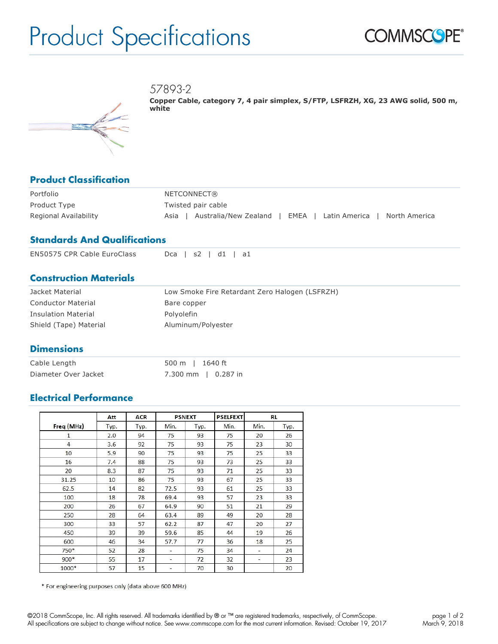# Product Specifications



57893-2



**Copper Cable, category 7, 4 pair simplex, S/FTP, LSFRZH, XG, 23 AWG solid, 500 m, white**

## **Product Classification**

| Portfolio             | NETCONNECT®                                                           |
|-----------------------|-----------------------------------------------------------------------|
| Product Type          | Twisted pair cable                                                    |
| Regional Availability | Australia/New Zealand   EMEA   Latin America<br>North America<br>Asia |

### **Standards And Qualifications**

| <b>EN50575 CPR Cable EuroClass</b> | $Dca$   s2   d1   a1 |  |
|------------------------------------|----------------------|--|
|                                    |                      |  |

#### **Construction Materials**

| Jacket Material            | Low Smoke Fire Retardant Zero Halogen (LSFRZH) |
|----------------------------|------------------------------------------------|
| <b>Conductor Material</b>  | Bare copper                                    |
| <b>Insulation Material</b> | Polvolefin                                     |
| Shield (Tape) Material     | Aluminum/Polyester                             |

#### **Dimensions**

| Cable Length         | 500 m   1640 ft     |  |  |
|----------------------|---------------------|--|--|
| Diameter Over Jacket | 7.300 mm   0.287 in |  |  |

#### **Electrical Performance**

|            | Att  | <b>ACR</b> |      | <b>PSNEXT</b> | <b>PSELFEXT</b> |      | RL   |
|------------|------|------------|------|---------------|-----------------|------|------|
| Freq (MHz) | Typ. | Typ.       | Min. | Typ.          | Min.            | Min. | Typ. |
| 1          | 2.0  | 94         | 75   | 93            | 75              | 20   | 26   |
| 4          | 3.6  | 92         | 75   | 93            | 75              | 23   | 30   |
| 10         | 5.9  | 90         | 75   | 93            | 75              | 25   | 33   |
| 16         | 7.4  | 88         | 75   | 93            | 73              | 25   | 33   |
| 20         | 8.3  | 87         | 75   | 93            | 71              | 25   | 33   |
| 31.25      | 10   | 86         | 75   | 93            | 67              | 25   | 33   |
| 62.5       | 14   | 82         | 72.5 | 93            | 61              | 25   | 33   |
| 100        | 18   | 78         | 69.4 | 93            | 57              | 23   | 33   |
| 200        | 26   | 67         | 64.9 | 90            | 51              | 21   | 29   |
| 250        | 28   | 64         | 63.4 | 89            | 49              | 20   | 28   |
| 300        | 33   | 57         | 62.2 | 87            | 47              | 20   | 27   |
| 450        | 39   | 39         | 59.6 | 85            | 44              | 19   | 26   |
| 600        | 46   | 34         | 57.7 | 77            | 36              | 18   | 25   |
| 750*       | 52   | 28         | ۰    | 75            | 34              | ۰    | 24   |
| $900*$     | 55   | 17         | ۰    | 72            | 32              | ۰    | 23   |
| 1000*      | 57   | 15         | -    | 70            | 30              |      | 20   |

\* For engineering purposes only (data above 600 MHz)